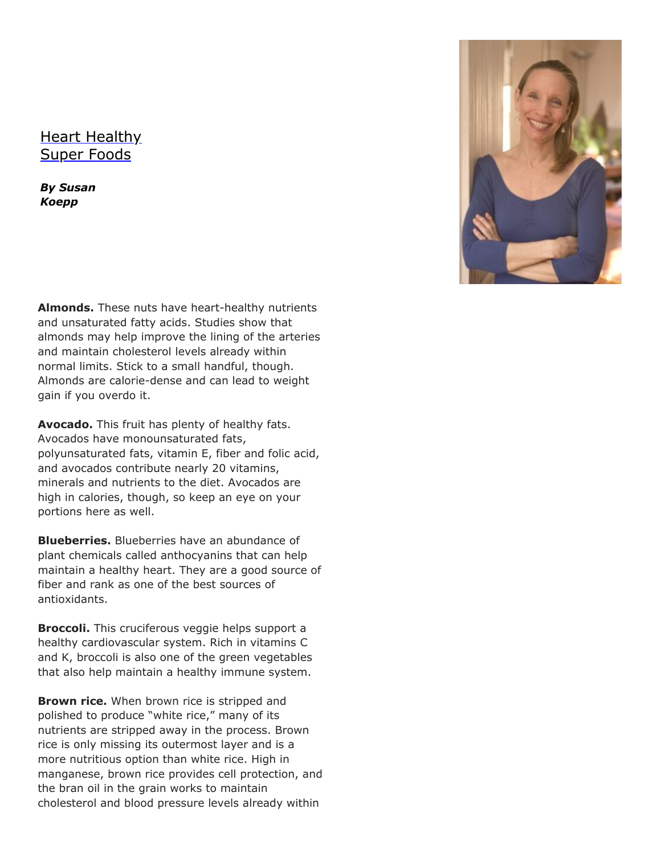## [Heart Healthy](http://feedproxy.google.com/~r/mywellnesspartner/onzV/~3/vvsG7h69cNc/heart-healthy-super-foods.html?utm_source=feedburner&utm_medium=email) Super Foods

*By Susan Koepp* 

**Almonds.** These nuts have heart-healthy nutrients and unsaturated fatty acids. Studies show that almonds may help improve the lining of the arteries and maintain cholesterol levels already within normal limits. Stick to a small handful, though. Almonds are calorie-dense and can lead to weight gain if you overdo it.

**Avocado.** This fruit has plenty of healthy fats. Avocados have monounsaturated fats, polyunsaturated fats, vitamin E, fiber and folic acid, and avocados contribute nearly 20 vitamins, minerals and nutrients to the diet. Avocados are high in calories, though, so keep an eye on your portions here as well.

**Blueberries.** Blueberries have an abundance of plant chemicals called anthocyanins that can help maintain a healthy heart. They are a good source of fiber and rank as one of the best sources of antioxidants.

**Broccoli.** This cruciferous veggie helps support a healthy cardiovascular system. Rich in vitamins C and K, broccoli is also one of the green vegetables that also help maintain a healthy immune system.

**Brown rice.** When brown rice is stripped and polished to produce "white rice," many of its nutrients are stripped away in the process. Brown rice is only missing its outermost layer and is a more nutritious option than white rice. High in manganese, brown rice provides cell protection, and the bran oil in the grain works to maintain cholesterol and blood pressure levels already within